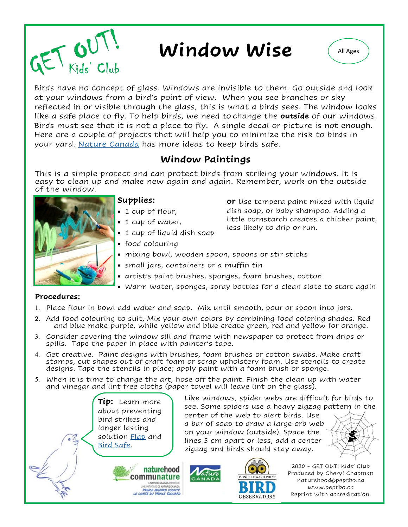

# **Window Wise**  $\left($  All Ages



Birds have no concept of glass. Windows are invisible to them. Go outside and look at your windows from a bird's point of view. When you see branches or sky reflected in or visible through the glass, this is what a birds sees. The window looks like a safe place to fly. To help birds, we need to change the **outside** of our windows. Birds must see that it is not a place to fly. A single decal or picture is not enough. Here are a couple of projects that will help you to minimize the risk to birds in your yard. [Nature Canada](https://naturecanada.ca/cats-collisions/8-tips-to-help-birds/) has more ideas to keep birds safe.

# **Window Paintings**

This is a simple protect and can protect birds from striking your windows. It is easy to clean up and make new again and again. Remember, work on the outside of the window.



### **Supplies:**

- 1 cup of flour,
- 1 cup of water,
- 1 cup of liquid dish soap
- food colouring
- mixing bowl, wooden spoon, spoons or stir sticks
- small jars, containers or a muffin tin
- artist's paint brushes, sponges, foam brushes, cotton
- Warm water, sponges, spray bottles for a clean slate to start again

#### **Procedures:**

- 1. Place flour in bowl add water and soap. Mix until smooth, pour or spoon into jars.
- Add food colouring to suit, Mix your own colors by combining food coloring shades. Red and blue make purple, while yellow and blue create green, red and yellow for orange.
- Consider covering the window sill and frame with newspaper to protect from drips or spills. Tape the paper in place with painter's tape.
- Get creative. Paint designs with brushes, foam brushes or cotton swabs. Make craft stamps, cut shapes out of craft foam or scrap upholstery foam. Use stencils to create designs. Tape the stencils in place; apply paint with a foam brush or sponge.
- When it is time to change the art, hose off the paint. Finish the clean up with water and vinegar and lint free cloths (paper towel will leave lint on the glass).

**Tip:** Learn more about preventing bird strikes and longer lasting solution [Flap](https://flap.org/) and [Bird Safe.](https://birdsafe.ca/)

Like windows, spider webs are difficult for birds to see. Some spiders use a heavy zigzag pattern in the

**or** Use tempera paint mixed with liquid dish soap, or baby shampoo. Adding a little cornstarch creates a thicker paint,

less likely to drip or run.

center of the web to alert birds. Use a bar of soap to draw a large orb web on your window (outside). Space the lines 5 cm apart or less, add a center zigzag and birds should stay away.





2020 - GET OUT! Kids' Club Produced by Cheryl Chapman naturehood@peptbo.ca www.peptbo.ca Reprint with accreditation.